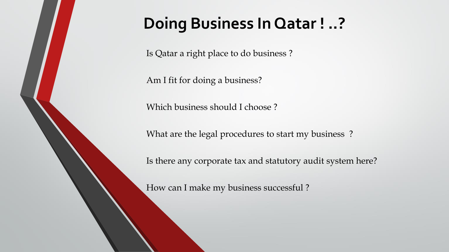### **Doing Business In Qatar ! ..?**

Is Qatar a right place to do business ?

Am I fit for doing a business?

Which business should I choose ?

What are the legal procedures to start my business?

Is there any corporate tax and statutory audit system here?

How can I make my business successful ?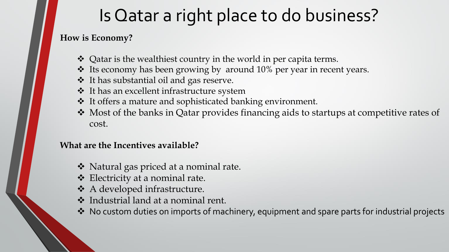# Is Qatar a right place to do business?

### **How is Economy?**

- Qatar is the wealthiest country in the world in per capita terms.
- Its economy has been growing by around 10% per year in recent years.
- It has substantial oil and gas reserve.
- It has an excellent infrastructure system
- It offers a mature and sophisticated banking environment.
- Most of the banks in Qatar provides financing aids to startups at competitive rates of cost.

#### **What are the Incentives available?**

- ◆ Natural gas priced at a nominal rate.
- Electricity at a nominal rate.
- A developed infrastructure.
- Industrial land at a nominal rent.
- ◆ No custom duties on imports of machinery, equipment and spare parts for industrial projects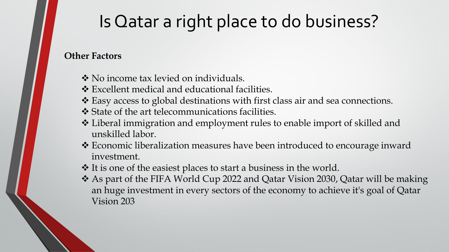# Is Qatar a right place to do business?

#### **Other Factors**

- ❖ No income tax levied on individuals.
- Excellent medical and educational facilities.
- Easy access to global destinations with first class air and sea connections.
- State of the art telecommunications facilities.
- Liberal immigration and employment rules to enable import of skilled and unskilled labor.
- Economic liberalization measures have been introduced to encourage inward investment.
- It is one of the easiest places to start a business in the world.
- As part of the FIFA World Cup 2022 and Qatar Vision 2030, Qatar will be making an huge investment in every sectors of the economy to achieve it's goal of Qatar Vision 203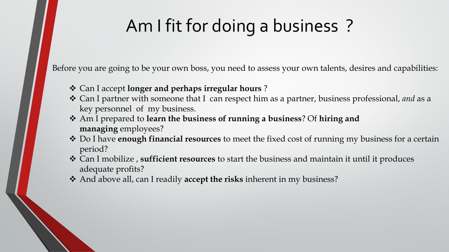# Am I fit for doing a business ?

Before you are going to be your own boss, you need to assess your own talents, desires and capabilities:

- Can I accept **longer and perhaps irregular hours** ?
- Can I partner with someone that I can respect him as a partner, business professional, *and* as a key personnel of my business.
- Am I prepared to **learn the business of running a business**? Of **hiring and managing** employees?
- Do I have **enough financial resources** to meet the fixed cost of running my business for a certain period?
- Can I mobilize , **sufficient resources** to start the business and maintain it until it produces adequate profits?
- And above all, can I readily **accept the risks** inherent in my business?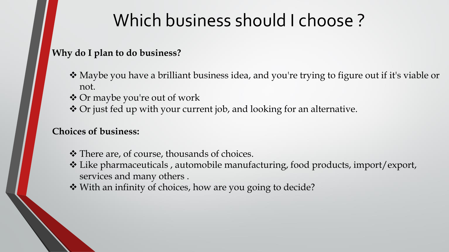# Which business should I choose ?

#### **Why do I plan to do business?**

- Maybe you have a brilliant business idea, and you're trying to figure out if it's viable or not.
- Or maybe you're out of work
- Or just fed up with your current job, and looking for an alternative.

### **Choices of business:**

- ◆ There are, of course, thousands of choices.
- Like pharmaceuticals , automobile manufacturing, food products, import/export, services and many others .
- ◆ With an infinity of choices, how are you going to decide?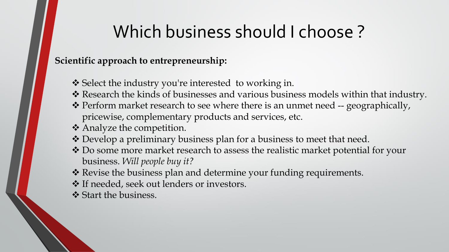# Which business should I choose ?

### **Scientific approach to entrepreneurship:**

- Select the industry you're interested to working in.
- Research the kinds of businesses and various business models within that industry.
- Perform market research to see where there is an unmet need -- geographically, pricewise, complementary products and services, etc.
- Analyze the competition.
- Develop a preliminary business plan for a business to meet that need.
- \* Do some more market research to assess the realistic market potential for your business. *Will people buy it?*
- \* Revise the business plan and determine your funding requirements.
- ◆ If needed, seek out lenders or investors.
- Start the business.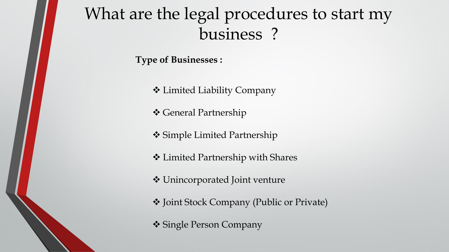### What are the legal procedures to start my business ?

**Type of Businesses :**

Limited Liability Company

General Partnership

**❖ Simple Limited Partnership** 

Limited Partnership with Shares

Unincorporated Joint venture

Joint Stock Company (Public or Private)

Single Person Company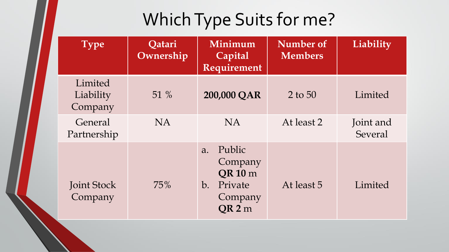# Which Type Suits for me?

| <b>Type</b>                     | Qatari<br>Ownership | Minimum<br>Capital<br>Requirement                                                                                 | Number of<br><b>Members</b> | Liability            |
|---------------------------------|---------------------|-------------------------------------------------------------------------------------------------------------------|-----------------------------|----------------------|
| Limited<br>Liability<br>Company | 51 $%$              | 200,000 QAR                                                                                                       | $2$ to 50                   | Limited              |
| General<br>Partnership          | NA.                 | NA.                                                                                                               | At least 2                  | Joint and<br>Several |
| <b>Joint Stock</b><br>Company   | 75%                 | Public<br>$\overline{a}$ .<br>Company<br><b>QR 10 m</b><br>Private<br>$b_{\cdot}$<br>Company<br>QR <sub>2</sub> m | At least 5                  | Limited              |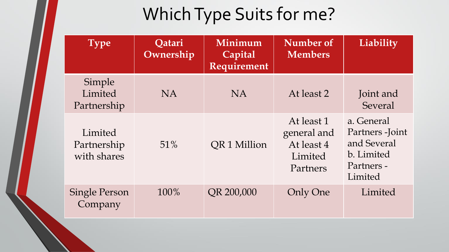# Which Type Suits for me?

| <b>Type</b>                           | Qatari<br>Ownership | Minimum<br>Capital<br>Requirement | Number of<br><b>Members</b>                                    | Liability                                                                            |
|---------------------------------------|---------------------|-----------------------------------|----------------------------------------------------------------|--------------------------------------------------------------------------------------|
| Simple<br>Limited<br>Partnership      | NA.                 | N <sub>A</sub>                    | At least 2                                                     | Joint and<br>Several                                                                 |
| Limited<br>Partnership<br>with shares | 51%                 | QR1 Million                       | At least 1<br>general and<br>At least 4<br>Limited<br>Partners | a. General<br>Partners - Joint<br>and Several<br>b. Limited<br>Partners -<br>Limited |
| <b>Single Person</b><br>Company       | 100%                | QR 200,000                        | <b>Only One</b>                                                | Limited                                                                              |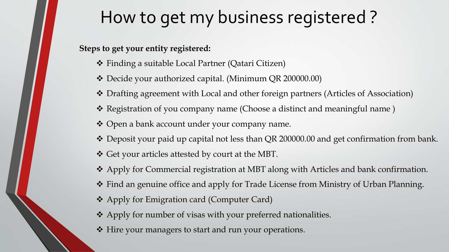# How to get my business registered ?

**Steps to get your entity registered:**

- Finding a suitable Local Partner (Qatari Citizen)
- Decide your authorized capital. (Minimum QR 200000.00)
- Drafting agreement with Local and other foreign partners (Articles of Association)
- Registration of you company name (Choose a distinct and meaningful name )
- Open a bank account under your company name.
- \* Deposit your paid up capital not less than QR 200000.00 and get confirmation from bank.
- Get your articles attested by court at the MBT.
- Apply for Commercial registration at MBT along with Articles and bank confirmation.
- Find an genuine office and apply for Trade License from Ministry of Urban Planning.
- Apply for Emigration card (Computer Card)
- Apply for number of visas with your preferred nationalities.
- Hire your managers to start and run your operations.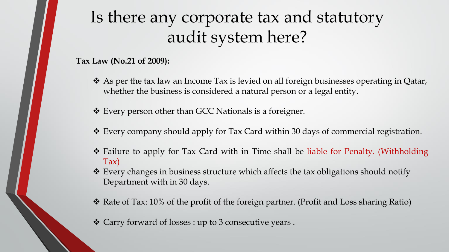## Is there any corporate tax and statutory audit system here?

**Tax Law (No.21 of 2009):**

- \* As per the tax law an Income Tax is levied on all foreign businesses operating in Qatar, whether the business is considered a natural person or a legal entity.
- Every person other than GCC Nationals is a foreigner.
- Every company should apply for Tax Card within 30 days of commercial registration.
- Failure to apply for Tax Card with in Time shall be liable for Penalty. (Withholding Tax)
- Every changes in business structure which affects the tax obligations should notify Department with in 30 days.
- $\cdot$  Rate of Tax: 10% of the profit of the foreign partner. (Profit and Loss sharing Ratio)
- Carry forward of losses : up to 3 consecutive years .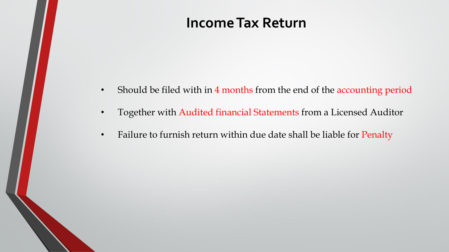### **Income Tax Return**

- Should be filed with in 4 months from the end of the accounting period
- Together with Audited financial Statements from a Licensed Auditor
- Failure to furnish return within due date shall be liable for Penalty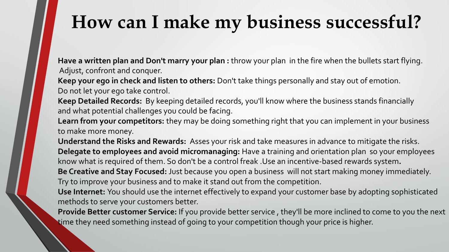# **How can I make my business successful?**

**Have a written plan and Don't marry your plan :** throw your plan in the fire when the bullets start flying. Adjust, confront and conquer.

**Keep your ego in check and listen to others:** Don't take things personally and stay out of emotion. Do not let your ego take control.

**Keep Detailed Records:** By keeping detailed records, you'll know where the business stands financially and what potential challenges you could be facing.

**Learn from your competitors:** they may be doing something right that you can implement in your business to make more money.

**Understand the Risks and Rewards:** Asses your risk and take measures in advance to mitigate the risks. **Delegate to employees and avoid micromanaging:** Have a training and orientation plan so your employees know what is required of them. So don't be a control freak .Use an incentive-based rewards system**. Be Creative and Stay Focused:** Just because you open a business will not start making money immediately.

Try to improve your business and to make it stand out from the competition.

**Use Internet:** You should use the internet effectively to expand your customer base by adopting sophisticated methods to serve your customers better.

**Provide Better customer Service:** If you provide better service , they'll be more inclined to come to you the next time they need something instead of going to your competition though your price is higher.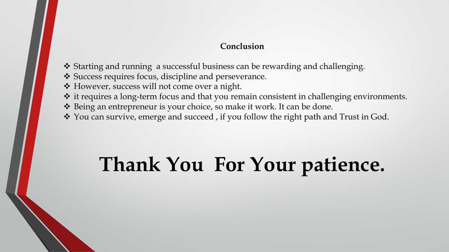#### **Conclusion**

- Starting and running a successful business can be rewarding and challenging.
- Success requires focus, discipline and perseverance.
- However, success will not come over a night.
- it requires a long-term focus and that you remain consistent in challenging environments.
- Being an entrepreneur is your choice, so make it work. It can be done.
- \* You can survive, emerge and succeed, if you follow the right path and Trust in God.

# **Thank You For Your patience.**